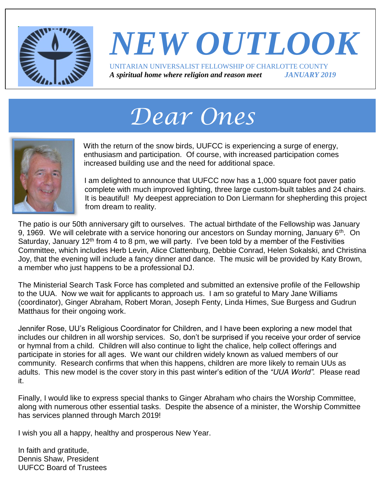

#### *NEW OUTLOOK* UNITARIAN UNIVERSALIST FELLOWSHIP OF CHARLOTTE COUNTY *A spiritual home where religion and reason meet JANUARY 2019*

# *Dear Ones*



With the return of the snow birds, UUFCC is experiencing a surge of energy, enthusiasm and participation. Of course, with increased participation comes increased building use and the need for additional space.

I am delighted to announce that UUFCC now has a 1,000 square foot paver patio complete with much improved lighting, three large custom-built tables and 24 chairs. It is beautiful! My deepest appreciation to Don Liermann for shepherding this project from dream to reality.

The patio is our 50th anniversary gift to ourselves. The actual birthdate of the Fellowship was January 9, 1969. We will celebrate with a service honoring our ancestors on Sunday morning, January  $6<sup>th</sup>$ . On Saturday, January 12<sup>th</sup> from 4 to 8 pm, we will party. I've been told by a member of the Festivities Committee, which includes Herb Levin, Alice Clattenburg, Debbie Conrad, Helen Sokalski, and Christina Joy, that the evening will include a fancy dinner and dance. The music will be provided by Katy Brown, a member who just happens to be a professional DJ.

The Ministerial Search Task Force has completed and submitted an extensive profile of the Fellowship to the UUA. Now we wait for applicants to approach us. I am so grateful to Mary Jane Williams (coordinator), Ginger Abraham, Robert Moran, Joseph Fenty, Linda Himes, Sue Burgess and Gudrun Matthaus for their ongoing work.

Jennifer Rose, UU's Religious Coordinator for Children, and I have been exploring a new model that includes our children in all worship services. So, don't be surprised if you receive your order of service or hymnal from a child. Children will also continue to light the chalice, help collect offerings and participate in stories for all ages. We want our children widely known as valued members of our community. Research confirms that when this happens, children are more likely to remain UUs as adults. This new model is the cover story in this past winter's edition of the *"UUA World".* Please read it.

Finally, I would like to express special thanks to Ginger Abraham who chairs the Worship Committee, along with numerous other essential tasks. Despite the absence of a minister, the Worship Committee has services planned through March 2019!

I wish you all a happy, healthy and prosperous New Year.

In faith and gratitude, Dennis Shaw, President UUFCC Board of Trustees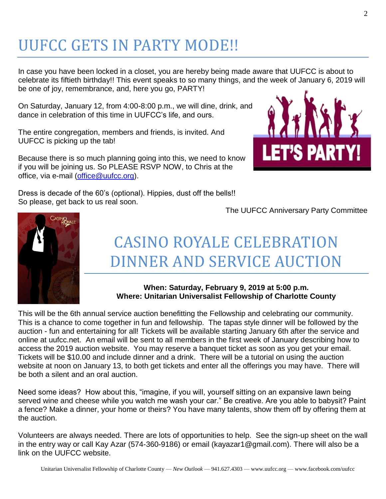## UUFCC GETS IN PARTY MODE!!

In case you have been locked in a closet, you are hereby being made aware that UUFCC is about to celebrate its fiftieth birthday!! This event speaks to so many things, and the week of January 6, 2019 will be one of joy, remembrance, and, here you go, PARTY!

On Saturday, January 12, from 4:00-8:00 p.m., we will dine, drink, and dance in celebration of this time in UUFCC's life, and ours.

The entire congregation, members and friends, is invited. And UUFCC is picking up the tab!

Because there is so much planning going into this, we need to know if you will be joining us. So PLEASE RSVP NOW, to Chris at the office, via e-mail [\(office@uufcc.org\)](mailto:office@uufcc.org).



Dress is decade of the 60's (optional). Hippies, dust off the bells!! So please, get back to us real soon.

The UUFCC Anniversary Party Committee



## CASINO ROYALE CELEBRATION DINNER AND SERVICE AUCTION

#### **When: Saturday, February 9, 2019 at 5:00 p.m. Where: Unitarian Universalist Fellowship of Charlotte County**

This will be the 6th annual service auction benefitting the Fellowship and celebrating our community. This is a chance to come together in fun and fellowship. The tapas style dinner will be followed by the auction - fun and entertaining for all! Tickets will be available starting January 6th after the service and online at uufcc.net. An email will be sent to all members in the first week of January describing how to access the 2019 auction website. You may reserve a banquet ticket as soon as you get your email. Tickets will be \$10.00 and include dinner and a drink. There will be a tutorial on using the auction website at noon on January 13, to both get tickets and enter all the offerings you may have. There will be both a silent and an oral auction.

Need some ideas? How about this, "imagine, if you will, yourself sitting on an expansive lawn being served wine and cheese while you watch me wash your car." Be creative. Are you able to babysit? Paint a fence? Make a dinner, your home or theirs? You have many talents, show them off by offering them at the auction.

Volunteers are always needed. There are lots of opportunities to help. See the sign-up sheet on the wall in the entry way or call Kay Azar (574-360-9186) or email [\(kayazar1@gmail.com\)](mailto:KAYAZAR1@GMAIL.COM). There will also be a link on the UUFCC website.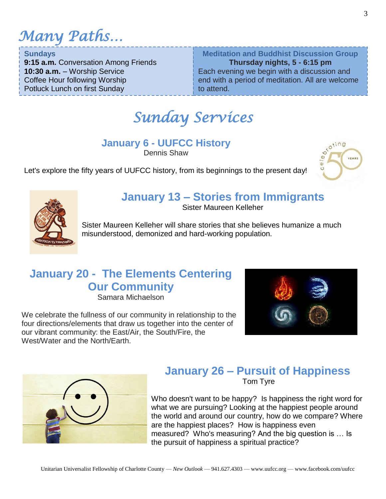*Many Paths…*

**Sundays**

**9:15 a.m.** Conversation Among Friends **10:30 a.m.** – Worship Service Coffee Hour following Worship Potluck Lunch on first Sunday

**Meditation and Buddhist Discussion Group Thursday nights, 5 - 6:15 pm** Each evening we begin with a discussion and end with a period of meditation. All are welcome to attend.

### *Sunday Services*

#### **January 6 - UUFCC History**

Dennis Shaw



Let's explore the fifty years of UUFCC history, from its beginnings to the present day!



#### **January 13 – Stories from Immigrants**

Sister Maureen Kelleher

Sister Maureen Kelleher will share stories that she believes humanize a much misunderstood, demonized and hard-working population.

#### **January 20 - The Elements Centering Our Community**

Samara Michaelson

We celebrate the fullness of our community in relationship to the four directions/elements that draw us together into the center of our vibrant community: the East/Air, the South/Fire, the West/Water and the North/Earth.





#### **January 26 – Pursuit of Happiness**  Tom Tyre

Who doesn't want to be happy? Is happiness the right word for what we are pursuing? Looking at the happiest people around the world and around our country, how do we compare? Where are the happiest places? How is happiness even measured? Who's measuring? And the big question is … Is the pursuit of happiness a spiritual practice?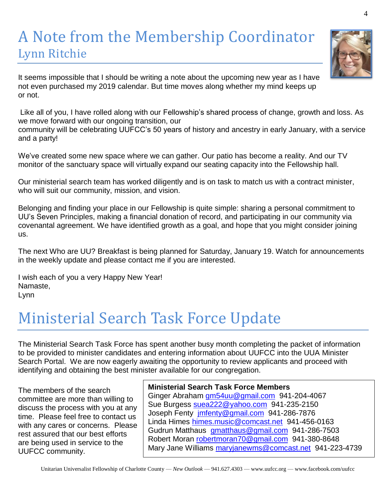#### A Note from the Membership Coordinator Lynn Ritchie

It seems impossible that I should be writing a note about the upcoming new year as I have not even purchased my 2019 calendar. But time moves along whether my mind keeps up or not.

Like all of you, I have rolled along with our Fellowship's shared process of change, growth and loss. As we move forward with our ongoing transition, our

community will be celebrating UUFCC's 50 years of history and ancestry in early January, with a service and a party!

We've created some new space where we can gather. Our patio has become a reality. And our TV monitor of the sanctuary space will virtually expand our seating capacity into the Fellowship hall.

Our ministerial search team has worked diligently and is on task to match us with a contract minister, who will suit our community, mission, and vision.

Belonging and finding your place in our Fellowship is quite simple: sharing a personal commitment to UU's Seven Principles, making a financial donation of record, and participating in our community via covenantal agreement. We have identified growth as a goal, and hope that you might consider joining us.

The next Who are UU? Breakfast is being planned for Saturday, January 19. Watch for announcements in the weekly update and please contact me if you are interested.

I wish each of you a very Happy New Year! Namaste, Lynn

## Ministerial Search Task Force Update

The Ministerial Search Task Force has spent another busy month completing the packet of information to be provided to minister candidates and entering information about UUFCC into the UUA Minister Search Portal. We are now eagerly awaiting the opportunity to review applicants and proceed with identifying and obtaining the best minister available for our congregation.

The members of the search committee are more than willing to discuss the process with you at any time. Please feel free to contact us with any cares or concerns. Please rest assured that our best efforts are being used in service to the UUFCC community.

#### **Ministerial Search Task Force Members**

Ginger Abraham [gm54uu@gmail.com](mailto:gm54uu@gmail.com) 941-204-4067 Sue Burgess [suea222@yahoo.com](mailto:suea222@yahoo.com) 941-235-2150 Joseph Fenty [jmfenty@gmail.com](mailto:jmfenty@gmail.com) 941-286-7876 Linda Himes [himes.music@comcast.net](mailto:himes.music@comcast.net) 941-456-0163 Gudrun Matthaus [gmatthaus@gmail.com](mailto:gmatthaus@gmail.com) 941-286-7503 Robert Moran [robertmoran70@gmail.com](mailto:robertmoran70@gmail.com) 941-380-8648 Mary Jane Williams [maryjanewms@comcast.net](mailto:maryjanewms@comcast.net) 941-223-4739

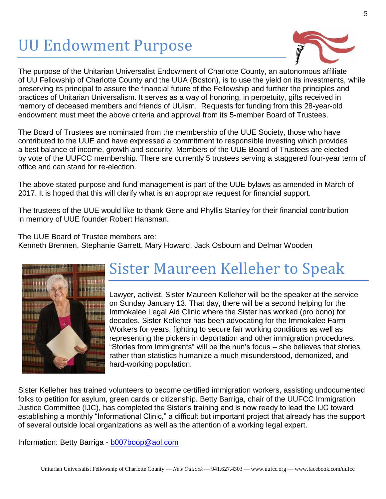## UU Endowment Purpose



The purpose of the Unitarian Universalist Endowment of Charlotte County, an autonomous affiliate of UU Fellowship of Charlotte County and the UUA (Boston), is to use the yield on its investments, while preserving its principal to assure the financial future of the Fellowship and further the principles and practices of Unitarian Universalism. It serves as a way of honoring, in perpetuity, gifts received in memory of deceased members and friends of UUism. Requests for funding from this 28-year-old endowment must meet the above criteria and approval from its 5-member Board of Trustees.

The Board of Trustees are nominated from the membership of the UUE Society, those who have contributed to the UUE and have expressed a commitment to responsible investing which provides a best balance of income, growth and security. Members of the UUE Board of Trustees are elected by vote of the UUFCC membership. There are currently 5 trustees serving a staggered four-year term of office and can stand for re-election.

The above stated purpose and fund management is part of the UUE bylaws as amended in March of 2017. It is hoped that this will clarify what is an appropriate request for financial support.

The trustees of the UUE would like to thank Gene and Phyllis Stanley for their financial contribution in memory of UUE founder Robert Hansman.

The UUE Board of Trustee members are:

Kenneth Brennen, Stephanie Garrett, Mary Howard, Jack Osbourn and Delmar Wooden



### Sister Maureen Kelleher to Speak

Lawyer, activist, Sister Maureen Kelleher will be the speaker at the service on Sunday January 13. That day, there will be a second helping for the Immokalee Legal Aid Clinic where the Sister has worked (pro bono) for decades. Sister Kelleher has been advocating for the Immokalee Farm Workers for years, fighting to secure fair working conditions as well as representing the pickers in deportation and other immigration procedures. "Stories from Immigrants" will be the nun's focus – she believes that stories rather than statistics humanize a much misunderstood, demonized, and hard-working population.

Sister Kelleher has trained volunteers to become certified immigration workers, assisting undocumented folks to petition for asylum, green cards or citizenship. Betty Barriga, chair of the UUFCC Immigration Justice Committee (IJC), has completed the Sister's training and is now ready to lead the IJC toward establishing a monthly "Informational Clinic," a difficult but important project that already has the support of several outside local organizations as well as the attention of a working legal expert.

Information: Betty Barriga - [b007boop@aol.com](mailto:b007boop@aol.com)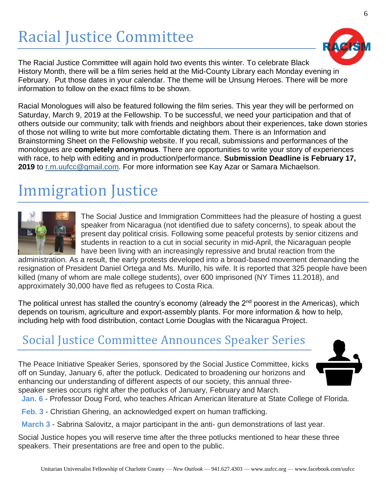## Racial Justice Committee

The Racial Justice Committee will again hold two events this winter. To celebrate Black History Month, there will be a film series held at the Mid-County Library each Monday evening in February. Put those dates in your calendar. The theme will be Unsung Heroes. There will be more information to follow on the exact films to be shown.

Racial Monologues will also be featured following the film series. This year they will be performed on Saturday, March 9, 2019 at the Fellowship. To be successful, we need your participation and that of others outside our community; talk with friends and neighbors about their experiences, take down stories of those not willing to write but more comfortable dictating them. There is an Information and Brainstorming Sheet on the Fellowship website. If you recall, submissions and performances of the monologues are **completely anonymous**. There are opportunities to write your story of experiences with race, to help with editing and in production/performance. **Submission Deadline is February 17, 2019** to [r.m.uufcc@gmail.com.](mailto:racialmonologues@gmail.com) For more information see Kay Azar or Samara Michaelson.

### Immigration Justice



The Social Justice and Immigration Committees had the pleasure of hosting a guest speaker from Nicaragua (not identified due to safety concerns), to speak about the present day political crisis. Following some peaceful protests by senior citizens and students in reaction to a cut in social security in mid-April, the Nicaraguan people have been living with an increasingly repressive and brutal reaction from the

administration. As a result, the early protests developed into a broad-based movement demanding the resignation of President Daniel Ortega and Ms. Murillo, his wife. It is reported that 325 people have been killed (many of whom are male college students), over 600 imprisoned (NY Times 11.2018), and approximately 30,000 have fled as refugees to Costa Rica.

The political unrest has stalled the country's economy (already the  $2<sup>nd</sup>$  poorest in the Americas), which depends on tourism, agriculture and export-assembly plants. For more information & how to help, including help with food distribution, contact Lorrie Douglas with the Nicaragua Project.

#### Social Justice Committee Announces Speaker Series

The Peace Initiative Speaker Series, sponsored by the Social Justice Committee, kicks off on Sunday, January 6, after the potluck. Dedicated to broadening our horizons and enhancing our understanding of different aspects of our society, this annual threespeaker series occurs right after the potlucks of January, February and March.



**Jan. 6** - Professor Doug Ford, who teaches African American literature at State College of Florida.

**Feb. 3** - Christian Ghering, an acknowledged expert on human trafficking.

**March 3** - Sabrina Salovitz, a major participant in the anti- gun demonstrations of last year.

Social Justice hopes you will reserve time after the three potlucks mentioned to hear these three speakers. Their presentations are free and open to the public.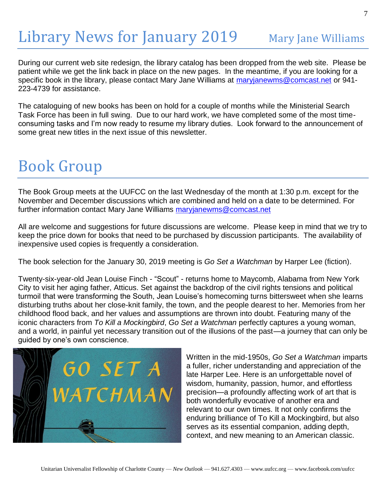## Library News for January 2019 Mary Jane Williams

During our current web site redesign, the library catalog has been dropped from the web site. Please be patient while we get the link back in place on the new pages. In the meantime, if you are looking for a specific book in the library, please contact Mary Jane Williams at [maryjanewms@comcast.net](mailto:maryjanewms@comcast.net) or 941- 223-4739 for assistance.

The cataloguing of new books has been on hold for a couple of months while the Ministerial Search Task Force has been in full swing. Due to our hard work, we have completed some of the most timeconsuming tasks and I'm now ready to resume my library duties. Look forward to the announcement of some great new titles in the next issue of this newsletter.

### Book Group

The Book Group meets at the UUFCC on the last Wednesday of the month at 1:30 p.m. except for the November and December discussions which are combined and held on a date to be determined. For further information contact Mary Jane Williams [maryjanewms@comcast.net](mailto:maryjanewms@comcast.net)

All are welcome and suggestions for future discussions are welcome. Please keep in mind that we try to keep the price down for books that need to be purchased by discussion participants. The availability of inexpensive used copies is frequently a consideration.

The book selection for the January 30, 2019 meeting is *Go Set a Watchman* by Harper Lee (fiction).

Twenty-six-year-old Jean Louise Finch - "Scout" - returns home to Maycomb, Alabama from New York City to visit her aging father, Atticus. Set against the backdrop of the civil rights tensions and political turmoil that were transforming the South, Jean Louise's homecoming turns bittersweet when she learns disturbing truths about her close-knit family, the town, and the people dearest to her. Memories from her childhood flood back, and her values and assumptions are thrown into doubt. Featuring many of the iconic characters from *To Kill a Mockingbird*, *Go Set a Watchman* perfectly captures a young woman, and a world, in painful yet necessary transition out of the illusions of the past—a journey that can only be guided by one's own conscience.



Written in the mid-1950s, *Go Set a Watchman* imparts a fuller, richer understanding and appreciation of the late Harper Lee. Here is an unforgettable novel of wisdom, humanity, passion, humor, and effortless precision—a profoundly affecting work of art that is both wonderfully evocative of another era and relevant to our own times. It not only confirms the enduring brilliance of To Kill a Mockingbird, but also serves as its essential companion, adding depth, context, and new meaning to an American classic.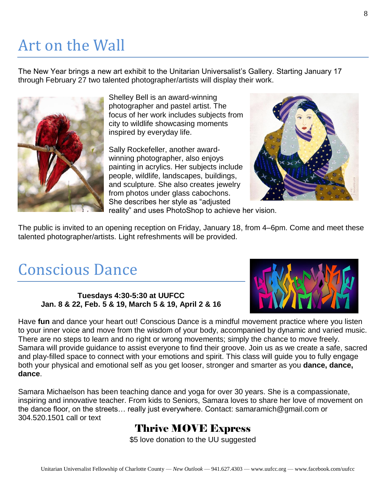## Art on the Wall

The New Year brings a new art exhibit to the Unitarian Universalist's Gallery. Starting January 17 through February 27 two talented photographer/artists will display their work.



Shelley Bell is an award-winning photographer and pastel artist. The focus of her work includes subjects from city to wildlife showcasing moments inspired by everyday life.

Sally Rockefeller, another awardwinning photographer, also enjoys painting in acrylics. Her subjects include people, wildlife, landscapes, buildings, and sculpture. She also creates jewelry from photos under glass cabochons. She describes her style as "adjusted reality" and uses PhotoShop to achieve her vision.



The public is invited to an opening reception on Friday, January 18, from 4–6pm. Come and meet these talented photographer/artists. Light refreshments will be provided.

#### Conscious Dance

#### **Tuesdays 4:30-5:30 at UUFCC Jan. 8 & 22, Feb. 5 & 19, March 5 & 19, April 2 & 16**

Have **fun** and dance your heart out! Conscious Dance is a mindful movement practice where you listen to your inner voice and move from the wisdom of your body, accompanied by dynamic and varied music. There are no steps to learn and no right or wrong movements; simply the chance to move freely. Samara will provide guidance to assist everyone to find their groove. Join us as we create a safe, sacred and play-filled space to connect with your emotions and spirit. This class will guide you to fully engage both your physical and emotional self as you get looser, stronger and smarter as you **dance, dance, dance**.

Samara Michaelson has been teaching dance and yoga for over 30 years. She is a compassionate, inspiring and innovative teacher. From kids to Seniors, Samara loves to share her love of movement on the dance floor, on the streets… really just everywhere. Contact: samaramich@gmail.com or 304.520.1501 call or text

#### Thrive MOVE Express

\$5 love donation to the UU suggested